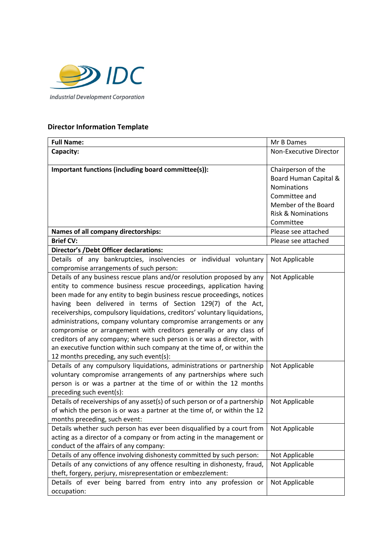

## **Director Information Template**

| <b>Full Name:</b>                                                                                                                                                                                                                                                                                                                                                                                                                                                                                                                                                                                                                                                                                               | Mr B Dames                                                                                                                                              |  |
|-----------------------------------------------------------------------------------------------------------------------------------------------------------------------------------------------------------------------------------------------------------------------------------------------------------------------------------------------------------------------------------------------------------------------------------------------------------------------------------------------------------------------------------------------------------------------------------------------------------------------------------------------------------------------------------------------------------------|---------------------------------------------------------------------------------------------------------------------------------------------------------|--|
| Capacity:                                                                                                                                                                                                                                                                                                                                                                                                                                                                                                                                                                                                                                                                                                       | Non-Executive Director                                                                                                                                  |  |
| Important functions (including board committee(s)):                                                                                                                                                                                                                                                                                                                                                                                                                                                                                                                                                                                                                                                             | Chairperson of the<br>Board Human Capital &<br><b>Nominations</b><br>Committee and<br>Member of the Board<br><b>Risk &amp; Nominations</b><br>Committee |  |
| Names of all company directorships:                                                                                                                                                                                                                                                                                                                                                                                                                                                                                                                                                                                                                                                                             | Please see attached                                                                                                                                     |  |
| <b>Brief CV:</b>                                                                                                                                                                                                                                                                                                                                                                                                                                                                                                                                                                                                                                                                                                | Please see attached                                                                                                                                     |  |
| <b>Director's /Debt Officer declarations:</b>                                                                                                                                                                                                                                                                                                                                                                                                                                                                                                                                                                                                                                                                   |                                                                                                                                                         |  |
| Details of any bankruptcies, insolvencies or individual voluntary<br>compromise arrangements of such person:                                                                                                                                                                                                                                                                                                                                                                                                                                                                                                                                                                                                    | Not Applicable                                                                                                                                          |  |
| Details of any business rescue plans and/or resolution proposed by any<br>entity to commence business rescue proceedings, application having<br>been made for any entity to begin business rescue proceedings, notices<br>having been delivered in terms of Section 129(7) of the Act,<br>receiverships, compulsory liquidations, creditors' voluntary liquidations,<br>administrations, company voluntary compromise arrangements or any<br>compromise or arrangement with creditors generally or any class of<br>creditors of any company; where such person is or was a director, with<br>an executive function within such company at the time of, or within the<br>12 months preceding, any such event(s): | Not Applicable                                                                                                                                          |  |
| Details of any compulsory liquidations, administrations or partnership<br>voluntary compromise arrangements of any partnerships where such<br>person is or was a partner at the time of or within the 12 months<br>preceding such event(s):                                                                                                                                                                                                                                                                                                                                                                                                                                                                     | Not Applicable                                                                                                                                          |  |
| Details of receiverships of any asset(s) of such person or of a partnership<br>of which the person is or was a partner at the time of, or within the 12<br>months preceding, such event:                                                                                                                                                                                                                                                                                                                                                                                                                                                                                                                        | Not Applicable                                                                                                                                          |  |
| Details whether such person has ever been disqualified by a court from<br>acting as a director of a company or from acting in the management or<br>conduct of the affairs of any company:                                                                                                                                                                                                                                                                                                                                                                                                                                                                                                                       | Not Applicable                                                                                                                                          |  |
| Details of any offence involving dishonesty committed by such person:                                                                                                                                                                                                                                                                                                                                                                                                                                                                                                                                                                                                                                           | Not Applicable                                                                                                                                          |  |
| Details of any convictions of any offence resulting in dishonesty, fraud,<br>theft, forgery, perjury, misrepresentation or embezzlement:                                                                                                                                                                                                                                                                                                                                                                                                                                                                                                                                                                        | Not Applicable                                                                                                                                          |  |
| Details of ever being barred from entry into any profession or<br>occupation:                                                                                                                                                                                                                                                                                                                                                                                                                                                                                                                                                                                                                                   | Not Applicable                                                                                                                                          |  |